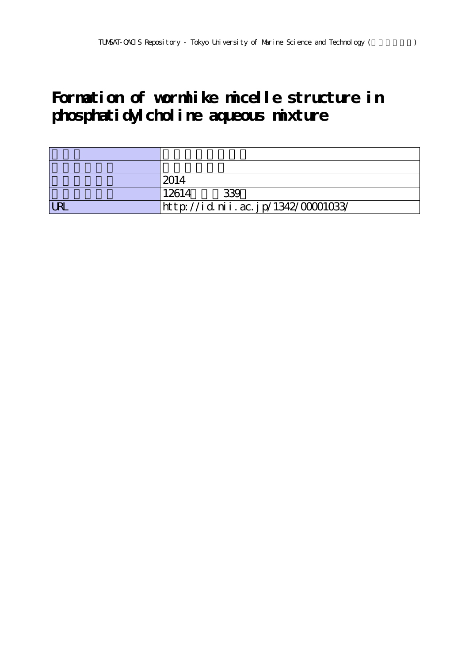## **Formation of wormlike micelle structure in phosphatidylcholine aqueous mixture**

|            | 2014                               |
|------------|------------------------------------|
|            | 339<br>12614                       |
| <b>LRI</b> | http://id.nii.ac.jp/1342/00001033/ |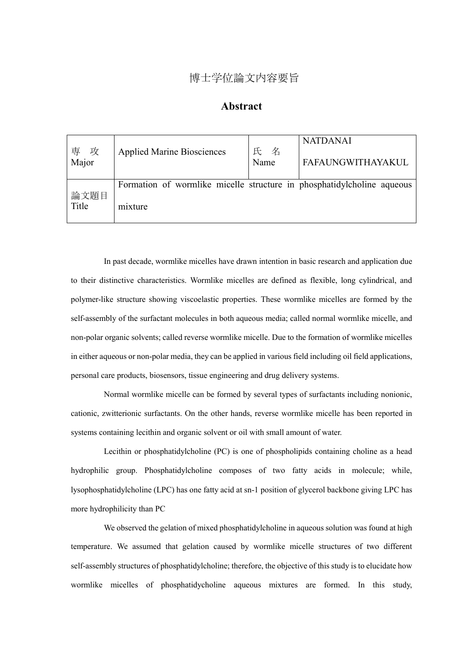## 博士学位論文内容要旨

## **Abstract**

| 専<br>攻<br>Major | <b>Applied Marine Biosciences</b>                                      | 氏 名<br>Name | <b>NATDANAI</b><br><b>FAFAUNGWITHAYAKUL</b> |  |
|-----------------|------------------------------------------------------------------------|-------------|---------------------------------------------|--|
|                 | Formation of wormlike micelle structure in phosphatidylcholine aqueous |             |                                             |  |
| 論文題目<br>Title   | mixture                                                                |             |                                             |  |

In past decade, wormlike micelles have drawn intention in basic research and application due to their distinctive characteristics. Wormlike micelles are defined as flexible, long cylindrical, and polymer-like structure showing viscoelastic properties. These wormlike micelles are formed by the self-assembly of the surfactant molecules in both aqueous media; called normal wormlike micelle, and non-polar organic solvents; called reverse wormlike micelle. Due to the formation of wormlike micelles in either aqueous or non-polar media, they can be applied in various field including oil field applications, personal care products, biosensors, tissue engineering and drug delivery systems.

Normal wormlike micelle can be formed by several types of surfactants including nonionic, cationic, zwitterionic surfactants. On the other hands, reverse wormlike micelle has been reported in systems containing lecithin and organic solvent or oil with small amount of water.

Lecithin or phosphatidylcholine (PC) is one of phospholipids containing choline as a head hydrophilic group. Phosphatidylcholine composes of two fatty acids in molecule; while, lysophosphatidylcholine (LPC) has one fatty acid at sn-1 position of glycerol backbone giving LPC has more hydrophilicity than PC

We observed the gelation of mixed phosphatidylcholine in aqueous solution was found at high temperature. We assumed that gelation caused by wormlike micelle structures of two different self-assembly structures of phosphatidylcholine; therefore, the objective of this study is to elucidate how wormlike micelles of phosphatidycholine aqueous mixtures are formed. In this study,